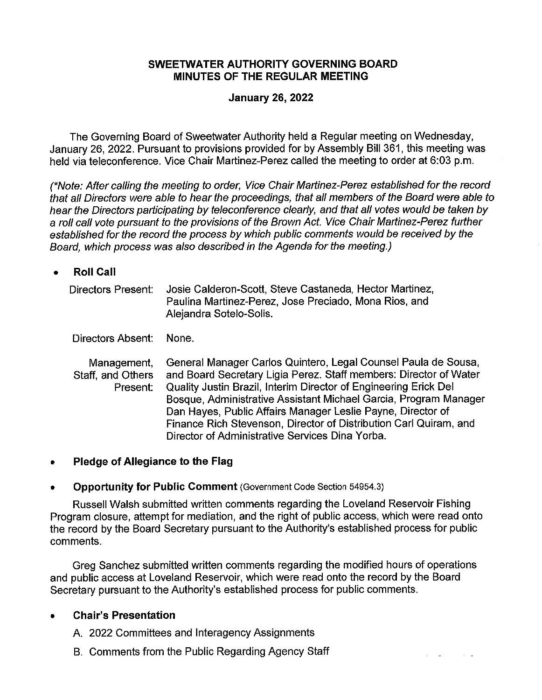## **SWEETWATER AUTHORITY GOVERNING BOARD MINUTES OF THE REGULAR MEETING**

### **January 26, 2022**

The Governing Board of Sweetwater Authority held a Regular meeting on Wednesday, January 26, 2022. Pursuant to provisions provided for by Assembly Bill 361, this meeting was held via teleconference. Vice Chair Martinez-Perez called the meeting to order at 6:03 p.m.

(\*Note: After calling the meeting to order, Vice Chair Martinez-Perez established for the record that all Directors were able to hear the proceedings, that all members of the Board were able to hear the Directors participating by teleconference clearly, and that all votes would be taken by a roll call vote pursuant to the provisions of the Brown Act. Vice Chair Martinez-Perez further established for the record the process by which public comments would be received by the Board, which process was also described in the Agenda for the meeting.)

• **Roll Call** 

| Directors Present: | Josie Calderon-Scott, Steve Castaneda, Hector Martinez, |
|--------------------|---------------------------------------------------------|
|                    | Paulina Martinez-Perez, Jose Preciado, Mona Rios, and   |
|                    | Alejandra Sotelo-Solis.                                 |

Directors Absent: None.

Management, Staff, and Others Present: General Manager Carlos Quintero, Legal Counsel Paula de Sousa, and Board Secretary Ligia Perez. Staff members: Director of Water Quality Justin Brazil, Interim Director of Engineering Erick Del Bosque, Administrative Assistant Michael Garcia, Program Manager Dan Hayes, Public Affairs Manager Leslie Payne, Director of Finance Rich Stevenson, Director of Distribution Carl Quiram, and Director of Administrative Services Dina Yorba.

• **Pledge of Allegiance to the Flag** 

## • **Opportunity for Public Comment** (Government Code Section 54954.3)

Russell Walsh submitted written comments regarding the Loveland Reservoir Fishing Program closure, attempt for mediation, and the right of public access, which were read onto the record by the Board Secretary pursuant to the Authority's established process for public comments.

Greg Sanchez submitted written comments regarding the modified hours of operations and public access at Loveland Reservoir, which were read onto the record by the Board Secretary pursuant to the Authority's established process for public comments.

## • **Chair's Presentation**

A. 2022 Committees and lnteragency Assignments

B. Comments from the Public Regarding Agency Staff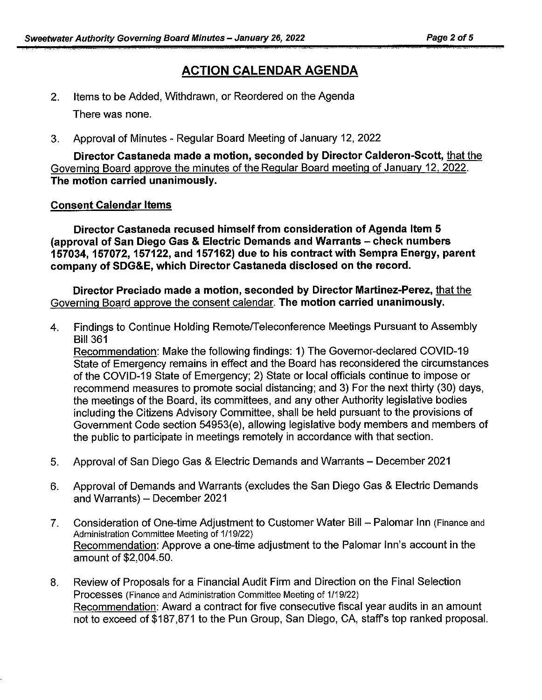# **ACTION CALENDAR AGENDA**

- 2. Items to be Added, Withdrawn, or Reordered on the Agenda There was none.
- 3. Approval of Minutes Regular Board Meeting of January 12, 2022

**Director Castaneda made a motion, seconded by Director Calderon-Scott,** that the Governing Board approve the minutes of the Regular Board meeting of January 12, 2022. **The motion carried unanimously.** 

#### **Consent Calendar Items**

**Director Castaneda rec used himself from consideration of Agenda Item 5 (approval of San Diego Gas & Electric Demands and Warrants - check numbers 157034, 157072, 157122, and 157162) due to his contract with Sempra Energy, parent company of SDG&E, which Director Castaneda disclosed on the record.** 

**Director Preciado made a motion, seconded by Director Martinez-Perez,** that the Governing Board approve the consent calendar. **The motion carried unanimously.** 

4. Findings to Continue Holding Remote/Teleconference Meetings Pursuant to Assembly Bill 361

Recommendation: Make the following findings: 1) The Governor-declared COVID-19 State of Emergency remains in effect and the Board has reconsidered the circumstances of the COVID-19 State of Emergency; 2) State or local officials continue to impose or recommend measures to promote social distancing; and 3) For the next thirty (30) days, the meetings of the Board, its committees, and any other Authority legislative bodies including the Citizens Advisory Committee, shall be held pursuant to the provisions of Government Code section 54953(e), allowing legislative body members and members of the public to participate in meetings remotely in accordance with that section.

- 5. Approval of San Diego Gas & Electric Demands and Warrants December 2021
- 6. Approval of Demands and Warrants (excludes the San Diego Gas & Electric Demands and Warrants) - December 2021
- 7. Consideration of One-time Adjustment to Customer Water Bill Palomar Inn (Finance and Administration Committee Meeting of 1/19/22) Recommendation: Approve a one-time adjustment to the Palomar Inn's account in the amount of \$2,004.50.
- 8. Review of Proposals for a Financial Audit Firm and Direction on the Final Selection Processes (Finance and Administration Committee Meeting of 1/19/22) Recommendation: Award a contract for five consecutive fiscal year audits in an amount not to exceed of \$187,871 to the Pun Group, San Diego, CA, staff's top ranked proposal.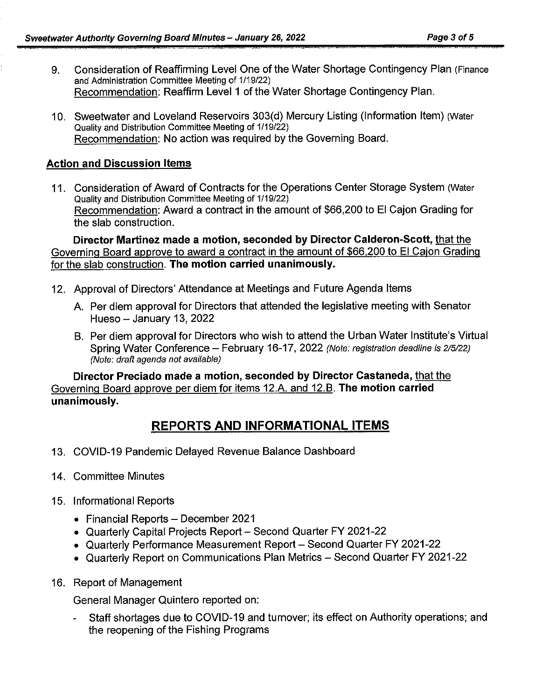- 9. Consideration of Reaffirming Level One of the Water Shortage Contingency Plan (Finance and Administration Committee Meeting of 1/19/22) Recommendation: Reaffirm Level 1 of the Water Shortage Contingency Plan.
- 10. Sweetwater and Loveland Reservoirs 303(d) Mercury Listing (Information Item) (Water Quality and Distribution Committee Meeting of 1/19/22) Recommendation: No action was required by the Governing Board.

## **Action and Discussion Items**

11. Consideration of Award of Contracts for the Operations Center Storage System (Water Quality and Distribution Committee Meeting of 1/19/22) Recommendation: Award a contract in the amount of \$66,200 to El Cajon Grading for the slab construction.

**Director Martinez made a motion, seconded by Director Calderon-Scott,** that the Governing Board approve to award a contract in the amount of \$66,200 to El Cajon Grading for the slab construction. **The motion carried unanimously.** 

- 12. Approval of Directors' Attendance at Meetings and Future Agenda Items
	- A. Per diem approval for Directors that attended the legislative meeting with Senator Hueso  $-$  January 13, 2022
	- B. Per diem approval for Directors who wish to attend the Urban Water lnstitute's Virtual Spring Water Conference - February 16-17, 2022 (Note: registration deadline is 2/5/22) (Note: draft agenda not available)

**Director Preciado made a motion, seconded by Director Castaneda,** that the Governing Board approve per diem for items 12.A. and 12.B. **The motion carried unanimously.** 

# **REPORTS AND INFORMATIONAL ITEMS**

- 13. COVID-19 Pandemic Delayed Revenue Balance Dashboard
- 14. Committee Minutes
- 15. Informational Reports
	- Financial Reports December 2021
	- Quarterly Capital Projects Report Second Quarter FY 2021-22
	- Quarterly Performance Measurement Report Second Quarter FY 2021-22
	- Quarterly Report on Communications Plan Metrics Second Quarter FY 2021-22
- 16. Report of Management

General Manager Quintero reported on:

- Staff shortages due to COVID-19 and turnover; its effect on Authority operations; and the reopening of the Fishing Programs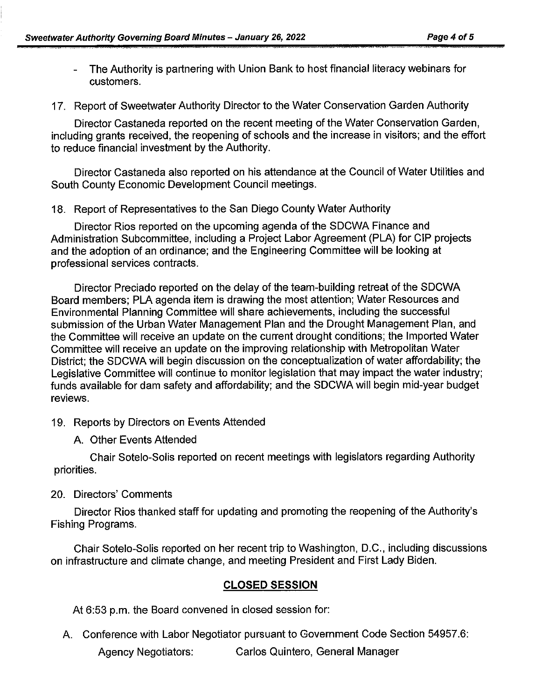- The Authority is partnering with Union Bank to host financial literacy webinars for customers.
- 17. Report of Sweetwater Authority Director to the Water Conservation Garden Authority

Director Castaneda reported on the recent meeting of the Water Conservation Garden, including grants received, the reopening of schools and the increase in visitors; and the effort to reduce financial investment by the Authority.

Director Castaneda also reported on his attendance at the Council of Water Utilities and South County Economic Development Council meetings.

18. Report of Representatives to the San Diego County Water Authority

Director Rios reported on the upcoming agenda of the SDCWA Finance and Administration Subcommittee, including a Project Labor Agreement (PLA) for GIP projects and the adoption of an ordinance; and the Engineering Committee will be looking at professional services contracts.

Director Preciado reported on the delay of the team-building retreat of the SDCWA Board members; PLA agenda item is drawing the most attention; Water Resources and Environmental Planning Committee will share achievements, including the successful submission of the Urban Water Management Plan and the Drought Management Plan, and the Committee will receive an update on the current drought conditions; the Imported Water Committee will receive an update on the improving relationship with Metropolitan Water District; the SDCWA will begin discussion on the conceptualization of water affordability; the Legislative Committee will continue to monitor legislation that may impact the water industry; funds available for dam safety and affordability; and the SDCWA will begin mid-year budget reviews.

- 19. Reports by Directors on Events Attended
	- A. Other Events Attended

Chair Sotelo-Solis reported on recent meetings with legislators regarding Authority priorities.

# 20. Directors' Comments

Director Rios thanked staff for updating and promoting the reopening of the Authority's Fishing Programs.

Chair Sotelo-Solis reported on her recent trip to Washington, D.C., including discussions on infrastructure and climate change, and meeting President and First Lady Biden.

# **CLOSED SESSION**

At 6:53 p.m. the Board convened in closed session for:

- A. Conference with Labor Negotiator pursuant to Government Code Section 54957.6:
	- Agency Negotiators: Carlos Quintero, General Manager